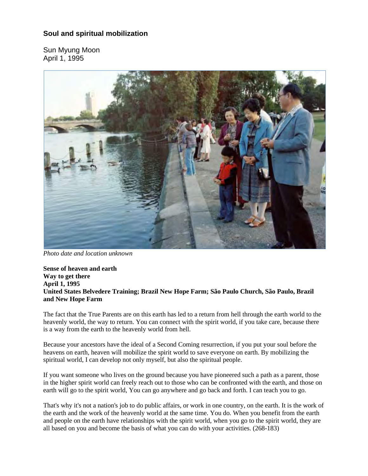# **Soul and spiritual mobilization**

Sun Myung Moon April 1, 1995



*Photo date and location unknown*

**Sense of heaven and earth Way to get there April 1, 1995 United States Belvedere Training; Brazil New Hope Farm; São Paulo Church, São Paulo, Brazil and New Hope Farm**

The fact that the True Parents are on this earth has led to a return from hell through the earth world to the heavenly world, the way to return. You can connect with the spirit world, if you take care, because there is a way from the earth to the heavenly world from hell.

Because your ancestors have the ideal of a Second Coming resurrection, if you put your soul before the heavens on earth, heaven will mobilize the spirit world to save everyone on earth. By mobilizing the spiritual world, I can develop not only myself, but also the spiritual people.

If you want someone who lives on the ground because you have pioneered such a path as a parent, those in the higher spirit world can freely reach out to those who can be confronted with the earth, and those on earth will go to the spirit world, You can go anywhere and go back and forth. I can teach you to go.

That's why it's not a nation's job to do public affairs, or work in one country, on the earth. It is the work of the earth and the work of the heavenly world at the same time. You do. When you benefit from the earth and people on the earth have relationships with the spirit world, when you go to the spirit world, they are all based on you and become the basis of what you can do with your activities. (268-183)